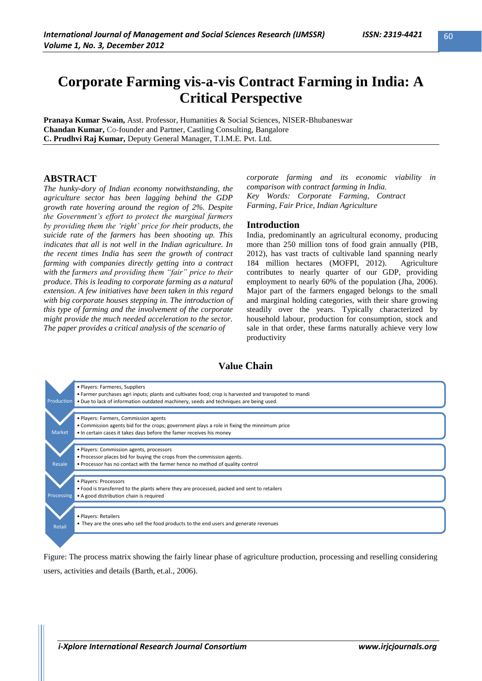# **Corporate Farming vis-a-vis Contract Farming in India: A Critical Perspective**

**Pranaya Kumar Swain,** Asst. Professor, Humanities & Social Sciences, NISER-Bhubaneswar **Chandan Kumar,** Co-founder and Partner, Castling Consulting, Bangalore **C. Prudhvi Raj Kumar,** Deputy General Manager, T.I.M.E. Pvt. Ltd.

### **ABSTRACT**

*The hunky-dory of Indian economy notwithstanding, the agriculture sector has been lagging behind the GDP growth rate hovering around the region of 2%. Despite the Government"s effort to protect the marginal farmers by providing them the "right" price for their products, the suicide rate of the farmers has been shooting up. This indicates that all is not well in the Indian agriculture. In the recent times India has seen the growth of contract farming with companies directly getting into a contract with the farmers and providing them "fair" price to their produce. This is leading to corporate farming as a natural extension. A few initiatives have been taken in this regard with big corporate houses stepping in. The introduction of this type of farming and the involvement of the corporate might provide the much needed acceleration to the sector. The paper provides a critical analysis of the scenario of* 

*corporate farming and its economic viability in comparison with contract farming in India. Key Words: Corporate Farming, Contract Farming, Fair Price, Indian Agriculture*

### **Introduction**

India, predominantly an agricultural economy, producing more than 250 million tons of food grain annually (PIB, 2012), has vast tracts of cultivable land spanning nearly 184 million hectares (MOFPI, 2012). Agriculture contributes to nearly quarter of our GDP, providing employment to nearly 60% of the population (Jha, 2006). Major part of the farmers engaged belongs to the small and marginal holding categories, with their share growing steadily over the years. Typically characterized by household labour, production for consumption, stock and sale in that order, these farms naturally achieve very low productivity

## **Value Chain**



Figure: The process matrix showing the fairly linear phase of agriculture production, processing and reselling considering users, activities and details (Barth, et.al., 2006).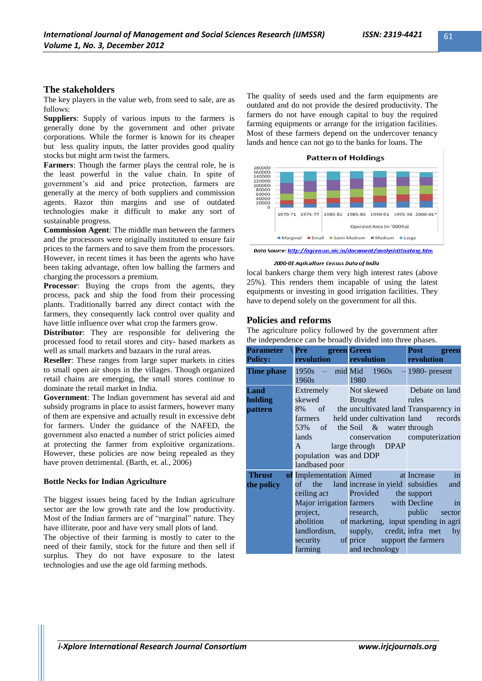## **The stakeholders**

The key players in the value web, from seed to sale, are as follows:

**Suppliers**: Supply of various inputs to the farmers is generally done by the government and other private corporations. While the former is known for its cheaper but less quality inputs, the latter provides good quality stocks but might arm twist the farmers.

**Farmers**: Though the farmer plays the central role, he is the least powerful in the value chain. In spite of government"s aid and price protection, farmers are generally at the mercy of both suppliers and commission agents. Razor thin margins and use of outdated technologies make it difficult to make any sort of sustainable progress.

**Commission Agent**: The middle man between the farmers and the processors were originally instituted to ensure fair prices to the farmers and to save them from the processors. However, in recent times it has been the agents who have been taking advantage, often low balling the farmers and charging the processors a premium.

**Processor**: Buying the crops from the agents, they process, pack and ship the food from their processing plants. Traditionally barred any direct contact with the farmers, they consequently lack control over quality and have little influence over what crop the farmers grow.

**Distributor:** They are responsible for delivering the processed food to retail stores and city- based markets as well as small markets and bazaars in the rural areas.

**Reseller**: These ranges from large super markets in cities to small open air shops in the villages. Though organized retail chains are emerging, the small stores continue to dominate the retail market in India.

**Government**: The Indian government has several aid and subsidy programs in place to assist farmers, however many of them are expensive and actually result in excessive debt for farmers. Under the guidance of the NAFED, the government also enacted a number of strict policies aimed at protecting the farmer from exploitive organizations. However, these policies are now being repealed as they have proven detrimental. (Barth, et. al., 2006)

### **Bottle Necks for Indian Agriculture**

The biggest issues being faced by the Indian agriculture sector are the low growth rate and the low productivity. Most of the Indian farmers are of "marginal" nature. They have illiterate, poor and have very small plots of land.

The objective of their farming is mostly to cater to the need of their family, stock for the future and then sell if surplus. They do not have exposure to the latest technologies and use the age old farming methods.

The quality of seeds used and the farm equipments are outdated and do not provide the desired productivity. The farmers do not have enough capital to buy the required farming equipments or arrange for the irrigation facilities. Most of these farmers depend on the undercover tenancy lands and hence can not go to the banks for loans. The



Data Source: http://agcensus.nic.in/document/analysis01natasg.htm

#### 2000-01 Agriculture Census Data of India

local bankers charge them very high interest rates (above 25%). This renders them incapable of using the latest equipments or investing in good irrigation facilities. They have to depend solely on the government for all this.

### **Policies and reforms**

The agriculture policy followed by the government after the independence can be broadly divided into three phases.

| <b>Policy:</b>              | Parameter \Pre green Green<br><b>revolution</b>                                                                                                                                                                                                                                                                                     | revolution                                                                                                                                                                                                                                                       | <b>Post</b><br>green<br>revolution |
|-----------------------------|-------------------------------------------------------------------------------------------------------------------------------------------------------------------------------------------------------------------------------------------------------------------------------------------------------------------------------------|------------------------------------------------------------------------------------------------------------------------------------------------------------------------------------------------------------------------------------------------------------------|------------------------------------|
| Time phase                  | $1950s$ – mid Mid $1960s$<br>1960s and the set of the set of the set of the set of the set of the set of the set of the set of the set of t                                                                                                                                                                                         | 1980                                                                                                                                                                                                                                                             | $-1980$ - present                  |
| Land<br>holding<br>pattern  | <b>Extremely</b><br>skewed<br>farmers<br>lands and the second state of the second state of the second state of the second state of the second state of the second state of the second state of the second state of the second state of the second state of the second s<br>$\mathbf{A}$<br>population was and DDP<br>landbased poor | Not skewed Debate on land<br><b>Brought</b><br>8% of the uncultivated land Transparency in<br>held under cultivation land records<br>53% of the Soil & water through<br>conservation computerization<br>large through DPAP                                       | rules                              |
| <b>Thrust</b><br>the policy | ceiling act<br>project, research,<br>landlordism,<br>security<br>farming and technology                                                                                                                                                                                                                                             | of Implementation Aimed at Increase<br>of the land increase in yield subsidies<br>Provided the support<br>Major irrigation farmers with Decline<br>abolition of marketing, input spending in agri<br>supply, credit, inframet by<br>of price support the farmers | in<br>and<br>in<br>public sector   |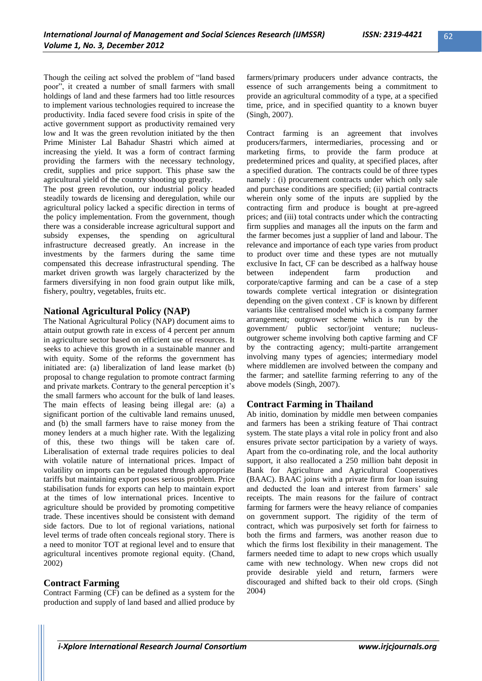Though the ceiling act solved the problem of "land based poor", it created a number of small farmers with small holdings of land and these farmers had too little resources to implement various technologies required to increase the productivity. India faced severe food crisis in spite of the active government support as productivity remained very low and It was the green revolution initiated by the then Prime Minister Lal Bahadur Shastri which aimed at increasing the yield. It was a form of contract farming providing the farmers with the necessary technology, credit, supplies and price support. This phase saw the agricultural yield of the country shooting up greatly.

The post green revolution, our industrial policy headed steadily towards de licensing and deregulation, while our agricultural policy lacked a specific direction in terms of the policy implementation. From the government, though there was a considerable increase agricultural support and subsidy expenses, the spending on agricultural infrastructure decreased greatly. An increase in the investments by the farmers during the same time compensated this decrease infrastructural spending. The market driven growth was largely characterized by the farmers diversifying in non food grain output like milk, fishery, poultry, vegetables, fruits etc.

### **National Agricultural Policy (NAP)**

The National Agricultural Policy (NAP) document aims to attain output growth rate in excess of 4 percent per annum in agriculture sector based on efficient use of resources. It seeks to achieve this growth in a sustainable manner and with equity. Some of the reforms the government has initiated are: (a) liberalization of land lease market (b) proposal to change regulation to promote contract farming and private markets. Contrary to the general perception it's the small farmers who account for the bulk of land leases. The main effects of leasing being illegal are: (a) a significant portion of the cultivable land remains unused, and (b) the small farmers have to raise money from the money lenders at a much higher rate. With the legalizing of this, these two things will be taken care of. Liberalisation of external trade requires policies to deal with volatile nature of international prices. Impact of volatility on imports can be regulated through appropriate tariffs but maintaining export poses serious problem. Price stabilisation funds for exports can help to maintain export at the times of low international prices. Incentive to agriculture should be provided by promoting competitive trade. These incentives should be consistent with demand side factors. Due to lot of regional variations, national level terms of trade often conceals regional story. There is a need to monitor TOT at regional level and to ensure that agricultural incentives promote regional equity. (Chand, 2002)

## **Contract Farming**

Contract Farming (CF) can be defined as a system for the production and supply of land based and allied produce by farmers/primary producers under advance contracts, the essence of such arrangements being a commitment to provide an agricultural commodity of a type, at a specified time, price, and in specified quantity to a known buyer (Singh, 2007).

Contract farming is an agreement that involves producers/farmers, intermediaries, processing and or marketing firms, to provide the farm produce at predetermined prices and quality, at specified places, after a specified duration. The contracts could be of three types namely : (i) procurement contracts under which only sale and purchase conditions are specified; (ii) partial contracts wherein only some of the inputs are supplied by the contracting firm and produce is bought at pre-agreed prices; and (iii) total contracts under which the contracting firm supplies and manages all the inputs on the farm and the farmer becomes just a supplier of land and labour. The relevance and importance of each type varies from product to product over time and these types are not mutually exclusive In fact, CF can be described as a halfway house between independent farm production and corporate/captive farming and can be a case of a step towards complete vertical integration or disintegration depending on the given context . CF is known by different variants like centralised model which is a company farmer arrangement; outgrower scheme which is run by the government/ public sector/joint venture; nucleusoutgrower scheme involving both captive farming and CF by the contracting agency; multi-partite arrangement involving many types of agencies; intermediary model where middlemen are involved between the company and the farmer; and satellite farming referring to any of the above models (Singh, 2007).

## **Contract Farming in Thailand**

Ab initio, domination by middle men between companies and farmers has been a striking feature of Thai contract system. The state plays a vital role in policy front and also ensures private sector participation by a variety of ways. Apart from the co-ordinating role, and the local authority support, it also reallocated a 250 million baht deposit in Bank for Agriculture and Agricultural Cooperatives (BAAC). BAAC joins with a private firm for loan issuing and deducted the loan and interest from farmers' sale receipts. The main reasons for the failure of contract farming for farmers were the heavy reliance of companies on government support. The rigidity of the term of contract, which was purposively set forth for fairness to both the firms and farmers, was another reason due to which the firms lost flexibility in their management. The farmers needed time to adapt to new crops which usually came with new technology. When new crops did not provide desirable yield and return, farmers were discouraged and shifted back to their old crops. (Singh 2004)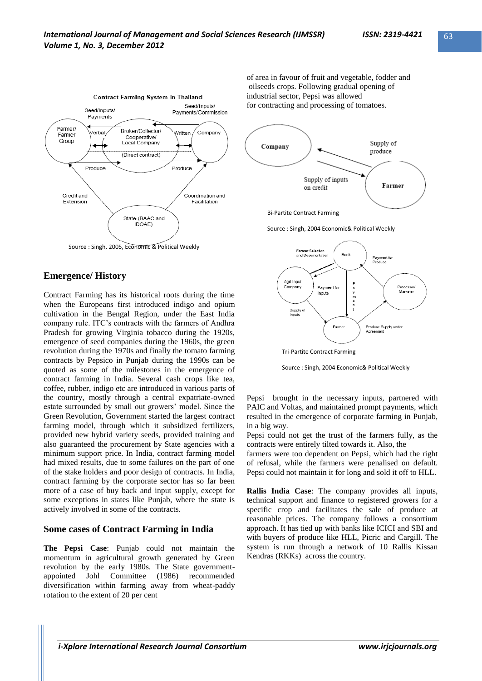

Source : Singh, 2005, Economic & Political Weekly

# **Emergence/ History**

Contract Farming has its historical roots during the time when the Europeans first introduced indigo and opium cultivation in the Bengal Region, under the East India company rule. ITC"s contracts with the farmers of Andhra Pradesh for growing Virginia tobacco during the 1920s, emergence of seed companies during the 1960s, the green revolution during the 1970s and finally the tomato farming contracts by Pepsico in Punjab during the 1990s can be quoted as some of the milestones in the emergence of contract farming in India. Several cash crops like tea, coffee, rubber, indigo etc are introduced in various parts of the country, mostly through a central expatriate-owned estate surrounded by small out growers' model. Since the Green Revolution, Government started the largest contract farming model, through which it subsidized fertilizers, provided new hybrid variety seeds, provided training and also guaranteed the procurement by State agencies with a minimum support price. In India, contract farming model had mixed results, due to some failures on the part of one of the stake holders and poor design of contracts. In India, contract farming by the corporate sector has so far been more of a case of buy back and input supply, except for some exceptions in states like Punjab, where the state is actively involved in some of the contracts.

# **Some cases of Contract Farming in India**

**The Pepsi Case**: Punjab could not maintain the momentum in agricultural growth generated by Green revolution by the early 1980s. The State governmentappointed Johl Committee (1986) recommended diversification within farming away from wheat-paddy rotation to the extent of 20 per cent

of area in favour of fruit and vegetable, fodder and oilseeds crops. Following gradual opening of industrial sector, Pepsi was allowed for contracting and processing of tomatoes.



Source : Singh, 2004 Economic& Political Weekly



Tri-Partite Contract Farming

Source : Singh, 2004 Economic& Political Weekly

Pepsi brought in the necessary inputs, partnered with PAIC and Voltas, and maintained prompt payments, which resulted in the emergence of corporate farming in Punjab, in a big way.

Pepsi could not get the trust of the farmers fully, as the contracts were entirely tilted towards it. Also, the

farmers were too dependent on Pepsi, which had the right of refusal, while the farmers were penalised on default. Pepsi could not maintain it for long and sold it off to HLL.

**Rallis India Case**: The company provides all inputs, technical support and finance to registered growers for a specific crop and facilitates the sale of produce at reasonable prices. The company follows a consortium approach. It has tied up with banks like ICICI and SBI and with buyers of produce like HLL, Picric and Cargill. The system is run through a network of 10 Rallis Kissan Kendras (RKKs) across the country.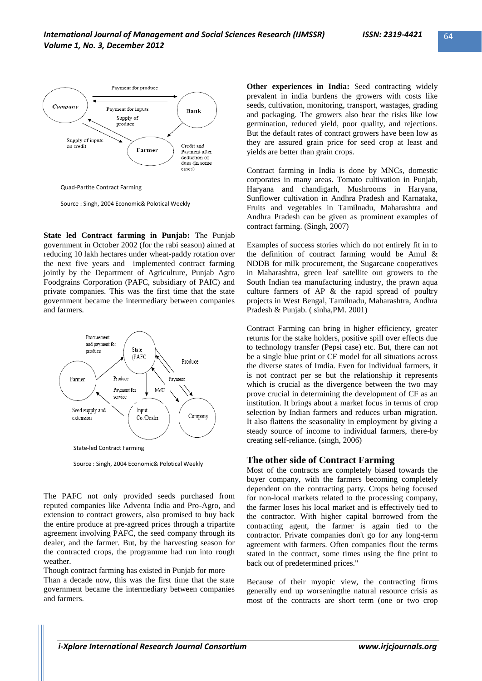

Source : Singh, 2004 Economic& Polotical Weekly

**State led Contract farming in Punjab:** The Punjab government in October 2002 (for the rabi season) aimed at reducing 10 lakh hectares under wheat-paddy rotation over the next five years and implemented contract farming jointly by the Department of Agriculture, Punjab Agro Foodgrains Corporation (PAFC, subsidiary of PAIC) and private companies. This was the first time that the state government became the intermediary between companies and farmers.



Source : Singh, 2004 Economic& Polotical Weekly

The PAFC not only provided seeds purchased from reputed companies like Adventa India and Pro-Agro, and extension to contract growers, also promised to buy back the entire produce at pre-agreed prices through a tripartite agreement involving PAFC, the seed company through its dealer, and the farmer. But, by the harvesting season for the contracted crops, the programme had run into rough weather.

Though contract farming has existed in Punjab for more Than a decade now, this was the first time that the state government became the intermediary between companies and farmers.

**Other experiences in India:** Seed contracting widely prevalent in india burdens the growers with costs like seeds, cultivation, monitoring, transport, wastages, grading and packaging. The growers also bear the risks like low germination, reduced yield, poor quality, and rejections. But the default rates of contract growers have been low as they are assured grain price for seed crop at least and yields are better than grain crops.

Contract farming in India is done by MNCs, domestic corporates in many areas. Tomato cultivation in Punjab, Haryana and chandigarh, Mushrooms in Haryana, Sunflower cultivation in Andhra Pradesh and Karnataka, Fruits and vegetables in Tamilnadu, Maharashtra and Andhra Pradesh can be given as prominent examples of contract farming. (Singh, 2007)

Examples of success stories which do not entirely fit in to the definition of contract farming would be Amul & NDDB for milk procurement, the Sugarcane cooperatives in Maharashtra, green leaf satellite out growers to the South Indian tea manufacturing industry, the prawn aqua culture farmers of AP & the rapid spread of poultry projects in West Bengal, Tamilnadu, Maharashtra, Andhra Pradesh & Punjab. ( sinha,PM. 2001)

Contract Farming can bring in higher efficiency, greater returns for the stake holders, positive spill over effects due to technology transfer (Pepsi case) etc. But, there can not be a single blue print or CF model for all situations across the diverse states of Imdia. Even for individual farmers, it is not contract per se but the relationship it represents which is crucial as the divergence between the two may prove crucial in determining the development of CF as an institution. It brings about a market focus in terms of crop selection by Indian farmers and reduces urban migration. It also flattens the seasonality in employment by giving a steady source of income to individual farmers, there-by creating self-reliance. (singh, 2006)

# **The other side of Contract Farming**

Most of the contracts are completely biased towards the buyer company, with the farmers becoming completely dependent on the contracting party. Crops being focused for non-local markets related to the processing company, the farmer loses his local market and is effectively tied to the contractor. With higher capital borrowed from the contracting agent, the farmer is again tied to the contractor. Private companies don't go for any long-term agreement with farmers. Often companies flout the terms stated in the contract, some times using the fine print to back out of predetermined prices."

Because of their myopic view, the contracting firms generally end up worseningthe natural resource crisis as most of the contracts are short term (one or two crop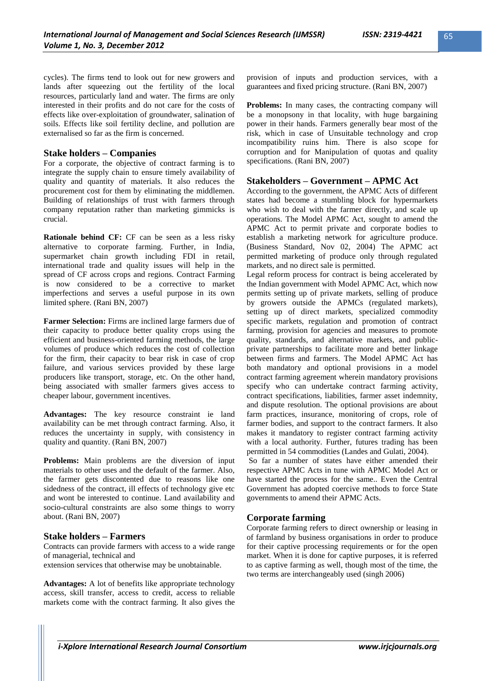cycles). The firms tend to look out for new growers and lands after squeezing out the fertility of the local resources, particularly land and water. The firms are only interested in their profits and do not care for the costs of effects like over-exploitation of groundwater, salination of soils. Effects like soil fertility decline, and pollution are externalised so far as the firm is concerned.

# **Stake holders – Companies**

For a corporate, the objective of contract farming is to integrate the supply chain to ensure timely availability of quality and quantity of materials. It also reduces the procurement cost for them by eliminating the middlemen. Building of relationships of trust with farmers through company reputation rather than marketing gimmicks is crucial.

**Rationale behind CF:** CF can be seen as a less risky alternative to corporate farming. Further, in India, supermarket chain growth including FDI in retail, international trade and quality issues will help in the spread of CF across crops and regions. Contract Farming is now considered to be a corrective to market imperfections and serves a useful purpose in its own limited sphere. (Rani BN, 2007)

**Farmer Selection:** Firms are inclined large farmers due of their capacity to produce better quality crops using the efficient and business-oriented farming methods, the large volumes of produce which reduces the cost of collection for the firm, their capacity to bear risk in case of crop failure, and various services provided by these large producers like transport, storage, etc. On the other hand, being associated with smaller farmers gives access to cheaper labour, government incentives.

**Advantages:** The key resource constraint ie land availability can be met through contract farming. Also, it reduces the uncertainty in supply, with consistency in quality and quantity. (Rani BN, 2007)

**Problems:** Main problems are the diversion of input materials to other uses and the default of the farmer. Also, the farmer gets discontented due to reasons like one sidedness of the contract, ill effects of technology give etc and wont be interested to continue. Land availability and socio-cultural constraints are also some things to worry about. (Rani BN, 2007)

# **Stake holders – Farmers**

Contracts can provide farmers with access to a wide range of managerial, technical and

extension services that otherwise may be unobtainable.

**Advantages:** A lot of benefits like appropriate technology access, skill transfer, access to credit, access to reliable markets come with the contract farming. It also gives the provision of inputs and production services, with a guarantees and fixed pricing structure. (Rani BN, 2007)

**Problems:** In many cases, the contracting company will be a monopsony in that locality, with huge bargaining power in their hands. Farmers generally bear most of the risk, which in case of Unsuitable technology and crop incompatibility ruins him. There is also scope for corruption and for Manipulation of quotas and quality specifications. (Rani BN, 2007)

# **Stakeholders – Government – APMC Act**

According to the government, the APMC Acts of different states had become a stumbling block for hypermarkets who wish to deal with the farmer directly, and scale up operations. The Model APMC Act, sought to amend the APMC Act to permit private and corporate bodies to establish a marketing network for agriculture produce. (Business Standard, Nov 02, 2004) The APMC act permitted marketing of produce only through regulated markets, and no direct sale is permitted.

Legal reform process for contract is being accelerated by the Indian government with Model APMC Act, which now permits setting up of private markets, selling of produce by growers outside the APMCs (regulated markets), setting up of direct markets, specialized commodity specific markets, regulation and promotion of contract farming, provision for agencies and measures to promote quality, standards, and alternative markets, and publicprivate partnerships to facilitate more and better linkage between firms and farmers. The Model APMC Act has both mandatory and optional provisions in a model contract farming agreement wherein mandatory provisions specify who can undertake contract farming activity, contract specifications, liabilities, farmer asset indemnity, and dispute resolution. The optional provisions are about farm practices, insurance, monitoring of crops, role of farmer bodies, and support to the contract farmers. It also makes it mandatory to register contract farming activity with a local authority. Further, futures trading has been permitted in 54 commodities (Landes and Gulati, 2004).

So far a number of states have either amended their respective APMC Acts in tune with APMC Model Act or have started the process for the same.. Even the Central Government has adopted coercive methods to force State governments to amend their APMC Acts.

# **Corporate farming**

Corporate farming refers to direct ownership or leasing in of farmland by business organisations in order to produce for their captive processing requirements or for the open market. When it is done for captive purposes, it is referred to as captive farming as well, though most of the time, the two terms are interchangeably used (singh 2006)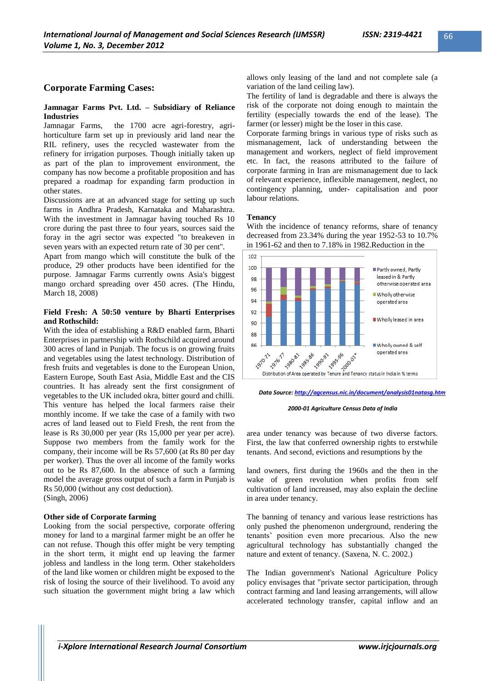# **Corporate Farming Cases:**

### **Jamnagar Farms Pvt. Ltd. – Subsidiary of Reliance Industries**

Jamnagar Farms, the 1700 acre agri-forestry, agrihorticulture farm set up in previously arid land near the RIL refinery, uses the recycled wastewater from the refinery for irrigation purposes. Though initially taken up as part of the plan to improvement environment, the company has now become a profitable proposition and has prepared a roadmap for expanding farm production in other states.

Discussions are at an advanced stage for setting up such farms in Andhra Pradesh, Karnataka and Maharashtra. With the investment in Jamnagar having touched Rs 10 crore during the past three to four years, sources said the foray in the agri sector was expected "to breakeven in seven years with an expected return rate of 30 per cent''.

Apart from mango which will constitute the bulk of the produce, 29 other products have been identified for the purpose. Jamnagar Farms currently owns Asia's biggest mango orchard spreading over 450 acres. (The Hindu, March 18, 2008)

### **Field Fresh: A 50:50 venture by Bharti Enterprises and Rothschild:**

With the idea of establishing a R&D enabled farm, Bharti Enterprises in partnership with Rothschild acquired around 300 acres of land in Punjab. The focus is on growing fruits and vegetables using the latest technology. Distribution of fresh fruits and vegetables is done to the European Union, Eastern Europe, South East Asia, Middle East and the CIS countries. It has already sent the first consignment of vegetables to the UK included okra, bitter gourd and chilli. This venture has helped the local farmers raise their monthly income. If we take the case of a family with two acres of land leased out to Field Fresh, the rent from the lease is Rs 30,000 per year (Rs 15,000 per year per acre). Suppose two members from the family work for the company, their income will be Rs 57,600 (at Rs 80 per day per worker). Thus the over all income of the family works out to be Rs 87,600. In the absence of such a farming model the average gross output of such a farm in Punjab is Rs 50,000 (without any cost deduction). (Singh, 2006)

### **Other side of Corporate farming**

Looking from the social perspective, corporate offering money for land to a marginal farmer might be an offer he can not refuse. Though this offer might be very tempting in the short term, it might end up leaving the farmer jobless and landless in the long term. Other stakeholders of the land like women or children might be exposed to the risk of losing the source of their livelihood. To avoid any such situation the government might bring a law which allows only leasing of the land and not complete sale (a variation of the land ceiling law).

The fertility of land is degradable and there is always the risk of the corporate not doing enough to maintain the fertility (especially towards the end of the lease). The farmer (or lesser) might be the loser in this case.

Corporate farming brings in various type of risks such as mismanagement, lack of understanding between the management and workers, neglect of field improvement etc. In fact, the reasons attributed to the failure of corporate farming in Iran are mismanagement due to lack of relevant experience, inflexible management, neglect, no contingency planning, under- capitalisation and poor labour relations.

### **Tenancy**

With the incidence of tenancy reforms, share of tenancy decreased from 23.34% during the year 1952-53 to 10.7% in 1961-62 and then to 7.18% in 1982.Reduction in the



*Data Source[: http://agcensus.nic.in/document/analysis01natasg.htm](http://agcensus.nic.in/document/analysis01natasg.htm)*

#### *2000-01 Agriculture Census Data of India*

area under tenancy was because of two diverse factors. First, the law that conferred ownership rights to erstwhile tenants. And second, evictions and resumptions by the

land owners, first during the 1960s and the then in the wake of green revolution when profits from self cultivation of land increased, may also explain the decline in area under tenancy.

The banning of tenancy and various lease restrictions has only pushed the phenomenon underground, rendering the tenants" position even more precarious. Also the new agricultural technology has substantially changed the nature and extent of tenancy. (Saxena, N. C. 2002.)

The Indian government's National Agriculture Policy policy envisages that "private sector participation, through contract farming and land leasing arrangements, will allow accelerated technology transfer, capital inflow and an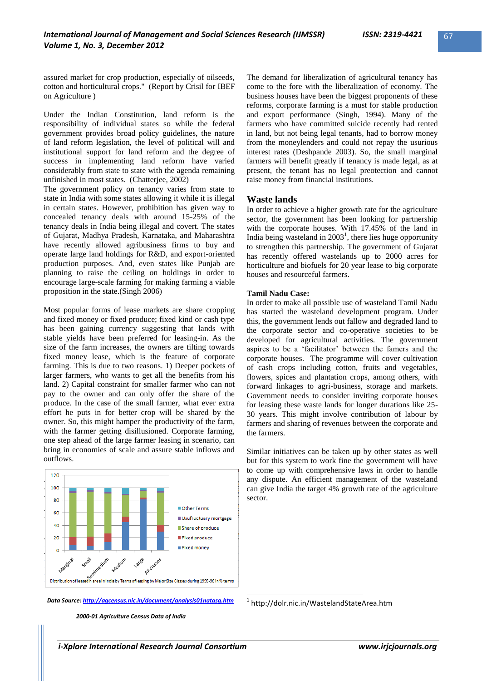assured market for crop production, especially of oilseeds, cotton and horticultural crops." (Report by Crisil for IBEF on Agriculture )

Under the Indian Constitution, land reform is the responsibility of individual states so while the federal government provides broad policy guidelines, the nature of land reform legislation, the level of political will and institutional support for land reform and the degree of success in implementing land reform have varied considerably from state to state with the agenda remaining unfinished in most states. (Chatterjee, 2002)

The government policy on tenancy varies from state to state in India with some states allowing it while it is illegal in certain states. However, prohibition has given way to concealed tenancy deals with around 15-25% of the tenancy deals in India being illegal and covert. The states of Gujarat, Madhya Pradesh, Karnataka, and Maharashtra have recently allowed agribusiness firms to buy and operate large land holdings for R&D, and export-oriented production purposes. And, even states like Punjab are planning to raise the ceiling on holdings in order to encourage large-scale farming for making farming a viable proposition in the state.(Singh 2006)

Most popular forms of lease markets are share cropping and fixed money or fixed produce; fixed kind or cash type has been gaining currency suggesting that lands with stable yields have been preferred for leasing-in. As the size of the farm increases, the owners are tilting towards fixed money lease, which is the feature of corporate farming. This is due to two reasons. 1) Deeper pockets of larger farmers, who wants to get all the benefits from his land. 2) Capital constraint for smaller farmer who can not pay to the owner and can only offer the share of the produce. In the case of the small farmer, what ever extra effort he puts in for better crop will be shared by the owner. So, this might hamper the productivity of the farm, with the farmer getting disillusioned. Corporate farming, one step ahead of the large farmer leasing in scenario, can bring in economies of scale and assure stable inflows and outflows.



*Data Source[: http://agcensus.nic.in/document/analysis01natasg.htm](http://agcensus.nic.in/document/analysis01natasg.htm)*

*2000-01 Agriculture Census Data of India*

The demand for liberalization of agricultural tenancy has come to the fore with the liberalization of economy. The business houses have been the biggest proponents of these reforms, corporate farming is a must for stable production and export performance (Singh, 1994). Many of the farmers who have committed suicide recently had rented in land, but not being legal tenants, had to borrow money from the moneylenders and could not repay the usurious interest rates (Deshpande 2003). So, the small marginal farmers will benefit greatly if tenancy is made legal, as at present, the tenant has no legal preotection and cannot raise money from financial institutions.

### **Waste lands**

In order to achieve a higher growth rate for the agriculture sector, the government has been looking for partnership with the corporate houses. With 17.45% of the land in India being wasteland in  $2003<sup>1</sup>$ , there lies huge opportunity to strengthen this partnership. The government of Gujarat has recently offered wastelands up to 2000 acres for horticulture and biofuels for 20 year lease to big corporate houses and resourceful farmers.

#### **Tamil Nadu Case:**

In order to make all possible use of wasteland Tamil Nadu has started the wasteland development program. Under this, the government lends out fallow and degraded land to the corporate sector and co-operative societies to be developed for agricultural activities. The government aspires to be a 'facilitator' between the famers and the corporate houses. The programme will cover cultivation of cash crops including cotton, fruits and vegetables, flowers, spices and plantation crops, among others, with forward linkages to agri-business, storage and markets. Government needs to consider inviting corporate houses for leasing these waste lands for longer durations like 25- 30 years. This might involve contribution of labour by farmers and sharing of revenues between the corporate and the farmers.

Similar initiatives can be taken up by other states as well but for this system to work fine the government will have to come up with comprehensive laws in order to handle any dispute. An efficient management of the wasteland can give India the target 4% growth rate of the agriculture sector.

1 http://dolr.nic.in/WastelandStateArea.htm

1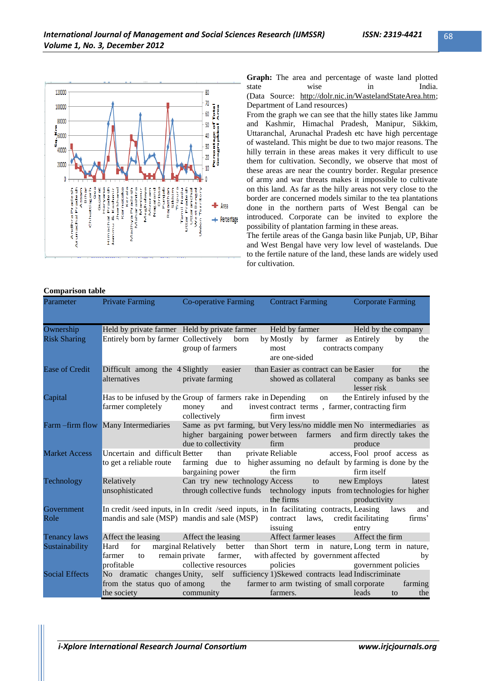

**Graph:** The area and percentage of waste land plotted state wise in India. (Data Source: [http://dolr.nic.in/WastelandStateArea.htm;](http://dolr.nic.in/WastelandStateArea.htm) Department of Land resources)

From the graph we can see that the hilly states like Jammu and Kashmir, Himachal Pradesh, Manipur, Sikkim, Uttaranchal, Arunachal Pradesh etc have high percentage of wasteland. This might be due to two major reasons. The hilly terrain in these areas makes it very difficult to use them for cultivation. Secondly, we observe that most of these areas are near the country border. Regular presence of army and war threats makes it impossible to cultivate on this land. As far as the hilly areas not very close to the border are concerned models similar to the tea plantations done in the northern parts of West Bengal can be introduced. Corporate can be invited to explore the possibility of plantation farming in these areas.

The fertile areas of the Ganga basin like Punjab, UP, Bihar and West Bengal have very low level of wastelands. Due to the fertile nature of the land, these lands are widely used for cultivation.

### **Comparison table**

| Parameter             | <b>Private Farming</b>                                    | Co-operative Farming Contract Farming                                                                                                                                |                                                                                                                                                                                                                                        | <b>Corporate Farming</b>                          |
|-----------------------|-----------------------------------------------------------|----------------------------------------------------------------------------------------------------------------------------------------------------------------------|----------------------------------------------------------------------------------------------------------------------------------------------------------------------------------------------------------------------------------------|---------------------------------------------------|
| Ownership             |                                                           | Held by private farmer Held by private farmer                                                                                                                        | Held by farmer Held by the company                                                                                                                                                                                                     |                                                   |
| <b>Risk Sharing</b>   | Entirely born by farmer Collectively born                 | group of farmers                                                                                                                                                     | by Mostly by farmer as Entirely<br>most<br>are one-sided                                                                                                                                                                               | by<br>the<br>contracts company                    |
| Ease of Credit        | Difficult among the 4 Slightly easier<br>alternatives     | <b><i>Private farming</i></b>                                                                                                                                        | than Easier as contract can be Easier<br>showed as collateral                                                                                                                                                                          | for<br>the<br>company as banks see<br>lesser risk |
| Capital               | farmer completely                                         | Has to be infused by the Group of farmers rake in Depending<br>and<br>money<br>collectively                                                                          | on<br>invest contract terms, farmer, contracting firm<br>firm invest                                                                                                                                                                   | the Entirely infused by the                       |
|                       | Farm – firm flow Many Intermediaries                      | Same as pvt farming, but Very less/no middle men No intermediaries as<br>higher bargaining power between farmers and firm directly takes the<br>due to collectivity  | firm                                                                                                                                                                                                                                   | produce                                           |
| <b>Market Access</b>  | Uncertain and difficult Better<br>to get a reliable route | than<br>farming due to higher assuming no default by farming is done by the<br>bargaining power                                                                      | private Reliable<br>the firm                                                                                                                                                                                                           | access, Fool proof access as<br>firm itself       |
| Technology            | Relatively<br>unsophisticated                             | Can try new technology Access<br>through collective funds technology inputs from technologies for higher                                                             | to to<br>the firms the state of the state of the state of the state of the state of the state of the state of the state of the state of the state of the state of the state of the state of the state of the state of the state of the | new Employs<br>latest<br>productivity             |
| Government<br>Role    |                                                           | In credit /seed inputs, in In credit /seed inputs, in In facilitating contracts, Leasing laws<br>mandis and sale (MSP) mandis and sale (MSP)                         | contract laws, credit facilitating<br>issuing                                                                                                                                                                                          | and<br>firms'<br>entry                            |
| <b>Tenancy laws</b>   |                                                           | Affect the leasing Affect the leasing                                                                                                                                | Affect farmer leases                                                                                                                                                                                                                   | Affect the firm                                   |
| Sustainability        | for<br>Hard<br>farmer<br>profitable                       | marginal Relatively better than Short term in nature, Long term in nature,<br>to remain private farmer, with affected by government affected<br>collective resources | policies government policies                                                                                                                                                                                                           | by                                                |
| <b>Social Effects</b> | No dramatic                                               | changes Unity, self sufficiency 1)Skewed contracts lead Indiscriminate                                                                                               |                                                                                                                                                                                                                                        |                                                   |
|                       | from the status quo of among<br>the society               | the<br>community                                                                                                                                                     | farmer to arm twisting of small corporate<br>farmers.                                                                                                                                                                                  | farming<br>leads<br>to<br>the                     |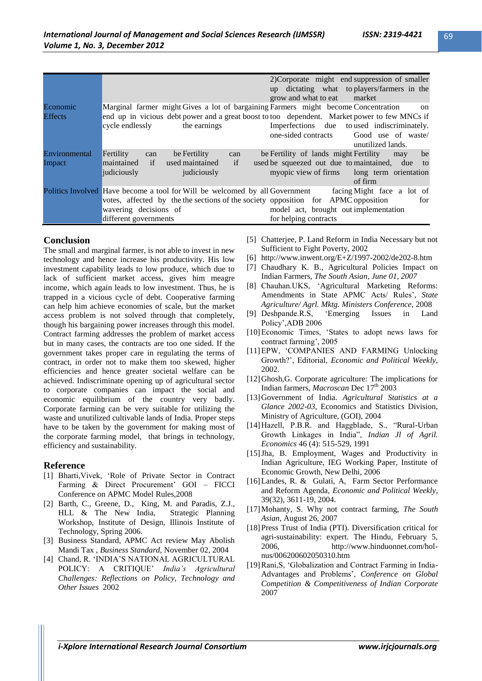|                            |                                                                                                                                                                                                                       | 2) Corporate might end suppression of smaller<br>up dictating what to players/farmers in the<br>grow and what to eat market                                   |
|----------------------------|-----------------------------------------------------------------------------------------------------------------------------------------------------------------------------------------------------------------------|---------------------------------------------------------------------------------------------------------------------------------------------------------------|
| Economic<br><b>Effects</b> | Marginal farmer might Gives a lot of bargaining Farmers might become Concentration<br>end up in vicious debt power and a great boost to too dependent. Market power to few MNCs if<br>the earnings<br>cycle endlessly | on<br>Imperfections due to used indiscriminately.<br>one-sided contracts<br>Good use of waste/<br>unutilized lands.                                           |
| Environmental<br>Impact    | be Fertility<br>Fertility<br>can<br>can<br>if<br>maintained<br>if<br>used maintained<br>judiciously<br>judiciously                                                                                                    | be<br>be Fertility of lands might Fertility<br>may<br>used be squeezed out due to maintained, due to<br>myopic view of firms long term orientation<br>of firm |
|                            | Politics Involved Have become a tool for Will be welcomed by all Government<br>votes, affected by the the sections of the society opposition for APMC opposition<br>wavering decisions of<br>different governments    | facing Might face a lot of<br>for<br>model act, brought out implementation<br>for helping contracts                                                           |

# **Conclusion**

The small and marginal farmer, is not able to invest in new technology and hence increase his productivity. His low investment capability leads to low produce, which due to lack of sufficient market access, gives him meagre income, which again leads to low investment. Thus, he is trapped in a vicious cycle of debt. Cooperative farming can help him achieve economies of scale, but the market access problem is not solved through that completely, though his bargaining power increases through this model. Contract farming addresses the problem of market access but in many cases, the contracts are too one sided. If the government takes proper care in regulating the terms of contract, in order not to make them too skewed, higher efficiencies and hence greater societal welfare can be achieved. Indiscriminate opening up of agricultural sector to corporate companies can impact the social and economic equilibrium of the country very badly. Corporate farming can be very suitable for utilizing the waste and unutilized cultivable lands of India. Proper steps have to be taken by the government for making most of the corporate farming model, that brings in technology, efficiency and sustainability.

# **Reference**

- [1] Bharti,Vivek, "Role of Private Sector in Contract Farming & Direct Procurement' GOI – FICCI Conference on APMC Model Rules,2008
- [2] Barth, C., Greene, D., King, M. and Paradis, Z.J., HLL & The New India, Strategic Planning Workshop, Institute of Design, Illinois Institute of Technology, Spring 2006.
- [3] Business Standard, APMC Act review May Abolish Mandi Tax , *Business Standard,* November 02, 2004
- [4] Chand, R. "INDIA"S NATIONAL AGRICULTURAL POLICY: A CRITIQUE" *India"s Agricultural Challenges: Reflections on Policy, Technology and Other Issues* 2002
- [5] Chatterjee, P. Land Reform in India Necessary but not Sufficient to Fight Poverty, 2002
- [6] <http://www.inwent.org/E+Z/1997-2002/de202-8.htm>
- [7] Chaudhary K. B., Agricultural Policies Impact on Indian Farmers, *The South Asian, June 01, 2007*
- [8] Chauhan.UKS, "Agricultural Marketing Reforms: Amendments in State APMC Acts/ Rules', State
- *Agriculture/ Agrl. Mktg. Ministers Conference,* 2008 [9] Deshpande.R.S, "Emerging Issues in Land Policy",ADB 2006
- [10] Economic Times, 'States to adopt news laws for contract farming", 2005
- [11]EPW, "COMPANIES AND FARMING Unlocking Growth?", Editorial, *Economic and Political Weekly,*  2002.
- [12]Ghosh,G. Corporate agriculture: The implications for Indian farmers, *Macroscan* Dec 17<sup>th</sup> 2003
- [13]Government of India. *Agricultural Statistics at a Glance 2002-03,* Economics and Statistics Division, Ministry of Agriculture, (GOI), 2004
- [14]Hazell, P.B.R. and Haggblade, S., "Rural-Urban Growth Linkages in India", *Indian Jl of Agril. Economics* 46 (4): 515-529, 1991
- [15]Jha, B. Employment, Wages and Productivity in Indian Agriculture, IEG Working Paper, Institute of Economic Growth, New Delhi, 2006
- [16]Landes, R. & Gulati, A, Farm Sector Performance and Reform Agenda, *Economic and Political Weekly*, 39(32), 3611-19, 2004.
- [17]Mohanty, S. Why not contract farming, *The South Asian,* August 26, 2007
- [18]Press Trust of India (PTI). Diversification critical for agri-sustainability: expert. The Hindu, February 5, 2006, http://www.hinduonnet.com/holnus/006200602050310.htm
- [19] Rani, S, 'Globalization and Contract Farming in India-Advantages and Problems", *Conference on Global Competition & Competitiveness of Indian Corporate*  2007